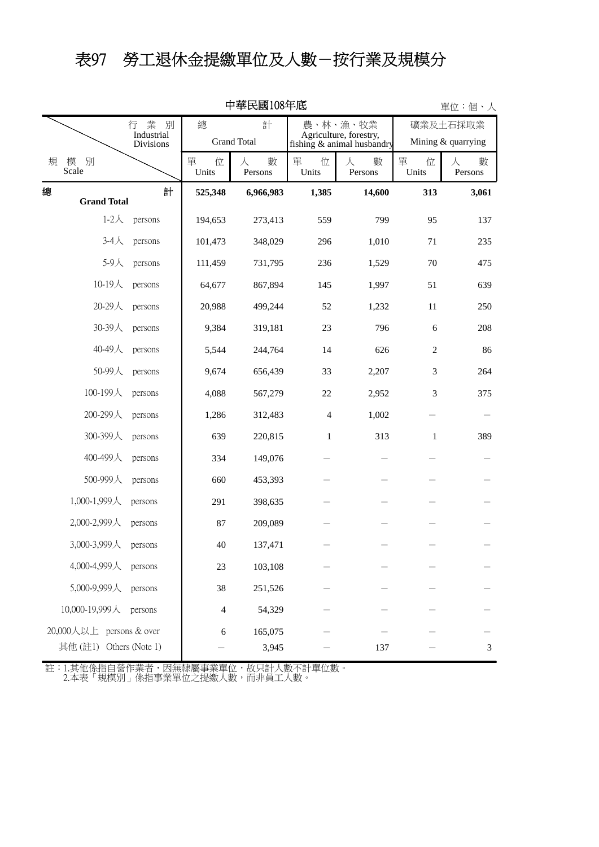### 表97 勞工退休金提繳單位及人數-按行業及規模分

|   | 甲華氏國108年低                |                                               |                 |                         |                 |                                                                  |                                |                   |  |
|---|--------------------------|-----------------------------------------------|-----------------|-------------------------|-----------------|------------------------------------------------------------------|--------------------------------|-------------------|--|
|   |                          | 業<br>別<br>行<br>Industrial<br><b>Divisions</b> | 總               | 計<br><b>Grand Total</b> |                 | 農、林、漁、牧業<br>Agriculture, forestry,<br>fishing & animal husbandry | 礦業及土石採取業<br>Mining & quarrying |                   |  |
| 規 | 模<br>別<br>Scale          |                                               | 單<br>位<br>Units | 數<br>人<br>Persons       | 單<br>位<br>Units | 數<br>人<br>Persons                                                | 單<br>位<br>Units                | 數<br>人<br>Persons |  |
| 總 | <b>Grand Total</b>       | 計                                             | 525,348         | 6,966,983               | 1,385           | 14,600                                                           | 313                            | 3,061             |  |
|   | $1-2$ 人                  | persons                                       | 194,653         | 273,413                 | 559             | 799                                                              | 95                             | 137               |  |
|   | $3-4$ 人                  | persons                                       | 101,473         | 348,029                 | 296             | 1,010                                                            | 71                             | 235               |  |
|   | 5-9人                     | persons                                       | 111,459         | 731,795                 | 236             | 1,529                                                            | 70                             | 475               |  |
|   | 10-19人                   | persons                                       | 64,677          | 867,894                 | 145             | 1,997                                                            | 51                             | 639               |  |
|   | 20-29人                   | persons                                       | 20,988          | 499,244                 | 52              | 1,232                                                            | 11                             | 250               |  |
|   | 30-39人                   | persons                                       | 9,384           | 319,181                 | 23              | 796                                                              | 6                              | 208               |  |
|   | 40-49人                   | persons                                       | 5,544           | 244,764                 | 14              | 626                                                              | $\sqrt{2}$                     | 86                |  |
|   | 50-99人                   | persons                                       | 9,674           | 656,439                 | 33              | 2,207                                                            | $\mathfrak{Z}$                 | 264               |  |
|   | 100-199人                 | persons                                       | 4,088           | 567,279                 | 22              | 2,952                                                            | 3                              | 375               |  |
|   | 200-299人                 | persons                                       | 1,286           | 312,483                 | 4               | 1,002                                                            |                                |                   |  |
|   | 300-399人                 | persons                                       | 639             | 220,815                 | $\mathbf{1}$    | 313                                                              | $\mathbf{1}$                   | 389               |  |
|   | 400-499人                 | persons                                       | 334             | 149,076                 |                 |                                                                  |                                |                   |  |
|   | 500-999人                 | persons                                       | 660             | 453,393                 |                 |                                                                  |                                |                   |  |
|   | 1,000-1,999人             | persons                                       | 291             | 398,635                 |                 |                                                                  |                                |                   |  |
|   | 2,000-2,999人             | persons                                       | 87              | 209,089                 |                 |                                                                  |                                |                   |  |
|   | 3,000-3,999人             | persons                                       | 40              | 137,471                 |                 |                                                                  |                                |                   |  |
|   | 4,000-4,999人             | persons                                       | 23              | 103,108                 |                 |                                                                  |                                |                   |  |
|   | 5,000-9,999人             | persons                                       | $38\,$          | 251,526                 |                 |                                                                  |                                |                   |  |
|   | 10,000-19,999人           | persons                                       | 4               | 54,329                  |                 |                                                                  |                                |                   |  |
|   | 20,000人以上 persons & over |                                               | 6               | 165,075                 |                 |                                                                  |                                |                   |  |
|   | 其他(註1) Others (Note 1)   |                                               |                 | 3,945                   |                 | 137                                                              |                                | $\mathfrak{Z}$    |  |

中華民國108年底

2.本表「規模別」係指事業單位之提繳人數,而非員工人數。 註:1.其他係指自營作業者,因無隸屬事業單位,故只計人數不計單位數。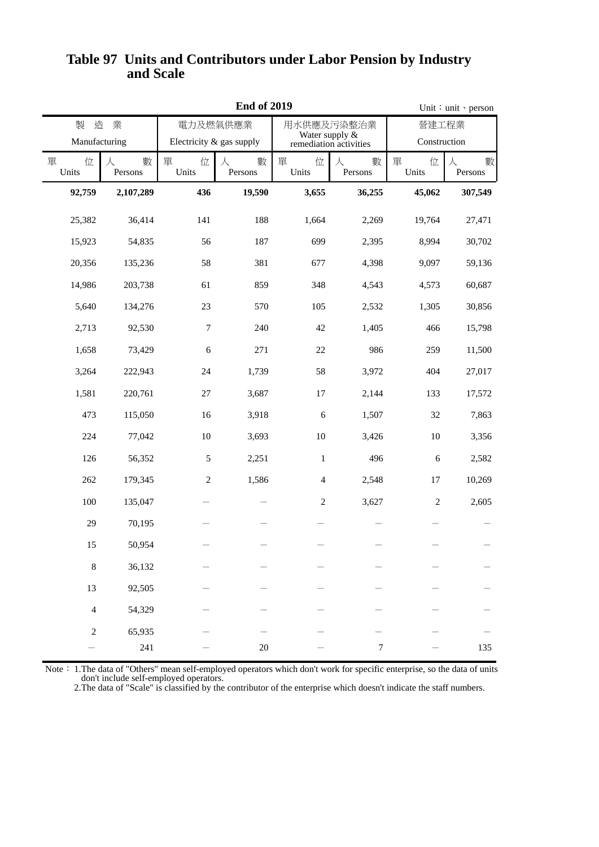#### **and Scale Table 97 Units and Contributors under Labor Pension by Industry**

|                 |                   |                          | <b>End of 2019</b> | Unit: unit · person                      |                   |              |                   |  |
|-----------------|-------------------|--------------------------|--------------------|------------------------------------------|-------------------|--------------|-------------------|--|
| 造<br>製          | 業                 |                          | 電力及燃氣供應業           |                                          | 用水供應及污染整治業        | 營建工程業        |                   |  |
| Manufacturing   |                   | Electricity & gas supply |                    | Water supply &<br>remediation activities |                   | Construction |                   |  |
| 單<br>位<br>Units | 數<br>人<br>Persons | 單<br>位<br>Units          | 數<br>人<br>Persons  | 單<br>位<br>Units                          | 數<br>人<br>Persons |              | 數<br>人<br>Persons |  |
| 92,759          | 2,107,289         | 436                      | 19,590             | 3,655                                    | 36,255            | 45,062       | 307,549           |  |
| 25,382          | 36,414            | 141                      | 188                | 1,664                                    | 2,269             | 19,764       | 27,471            |  |
| 15,923          | 54,835            | 56                       | 187                | 699                                      | 2,395             | 8,994        | 30,702            |  |
| 20,356          | 135,236           | 58                       | 381                | 677                                      | 4,398             | 9,097        | 59,136            |  |
| 14,986          | 203,738           | 61                       | 859                | 348                                      | 4,543             | 4,573        | 60,687            |  |
| 5,640           | 134,276           | 23                       | 570                | 105                                      | 2,532             | 1,305        | 30,856            |  |
| 2,713           | 92,530            | $\boldsymbol{7}$         | 240                | 42                                       | 1,405             | 466          | 15,798            |  |
| 1,658           | 73,429            | 6                        | 271                | $22\,$                                   | 986               | 259          | 11,500            |  |
| 3,264           | 222,943           | 24                       | 1,739              | 58                                       | 3,972             | 404          | 27,017            |  |
| 1,581           | 220,761           | $27\,$                   | 3,687              | 17                                       | 2,144             | 133          | 17,572            |  |
| 473             | 115,050           | 16                       | 3,918              | 6                                        | 1,507             | 32           | 7,863             |  |
| 224             | 77,042            | $10\,$                   | 3,693              | $10\,$                                   | 3,426             | 10           | 3,356             |  |
| 126             | 56,352            | 5                        | 2,251              | $\mathbf{1}$                             | 496               | 6            | 2,582             |  |
| 262             | 179,345           | $\overline{c}$           | 1,586              | $\overline{4}$                           | 2,548             | 17           | 10,269            |  |
| 100             | 135,047           |                          |                    | $\sqrt{2}$                               | 3,627             | $\sqrt{2}$   | 2,605             |  |
| 29              | 70,195            |                          |                    |                                          |                   |              |                   |  |
| 15              | 50,954            |                          |                    |                                          |                   |              |                   |  |
| $\,8\,$         | 36,132            |                          |                    |                                          |                   |              |                   |  |
| 13              | 92,505            |                          |                    |                                          |                   |              |                   |  |
| $\overline{4}$  | 54,329            |                          |                    |                                          |                   |              |                   |  |
| $\overline{c}$  | 65,935<br>$241\,$ |                          | $20\,$             |                                          | $\boldsymbol{7}$  |              | 135               |  |
|                 |                   |                          |                    |                                          |                   |              |                   |  |

 don't include self-employed operators. Note: 1. The data of "Others" mean self-employed operators which don't work for specific enterprise, so the data of units

2.The data of "Scale" is classified by the contributor of the enterprise which doesn't indicate the staff numbers.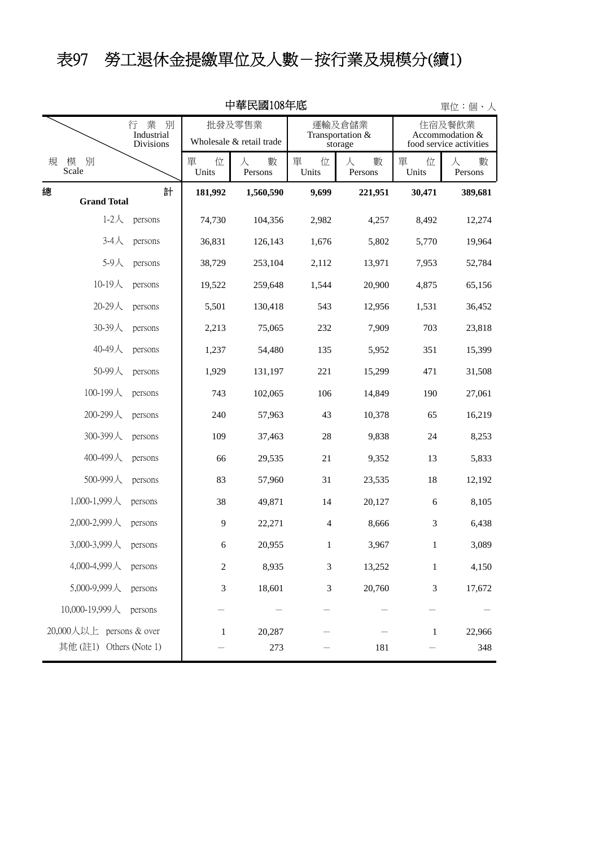# 表97 勞工退休金提繳單位及人數-按行業及規模分(續1)

|                                                       | 單位:個、人 |                                    |                   |                 |                                       |                                                      |                   |
|-------------------------------------------------------|--------|------------------------------------|-------------------|-----------------|---------------------------------------|------------------------------------------------------|-------------------|
| 別<br>行<br>業<br>Industrial<br>Divisions                |        | 批發及零售業<br>Wholesale & retail trade |                   |                 | 運輸及倉儲業<br>Transportation &<br>storage | 住宿及餐飲業<br>Accommodation &<br>food service activities |                   |
| 規<br>別<br>模<br>Scale                                  |        | 單<br>位<br>Units                    | 數<br>人<br>Persons | 單<br>位<br>Units | 人<br>數<br>Persons                     | 單<br>位<br>Units                                      | 人<br>數<br>Persons |
| 總<br><b>Grand Total</b>                               | 計      | 181,992                            | 1,560,590         | 9,699           | 221,951                               | 30,471                                               | 389,681           |
| $1-2$ 人<br>persons                                    |        | 74,730                             | 104,356           | 2,982           | 4,257                                 | 8,492                                                | 12,274            |
| $3-4$ 人<br>persons                                    |        | 36,831                             | 126,143           | 1,676           | 5,802                                 | 5,770                                                | 19,964            |
| 5-9人<br>persons                                       |        | 38,729                             | 253,104           | 2,112           | 13,971                                | 7,953                                                | 52,784            |
| 10-19人<br>persons                                     |        | 19,522                             | 259,648           | 1,544           | 20,900                                | 4,875                                                | 65,156            |
| $20-29$ 人<br>persons                                  |        | 5,501                              | 130,418           | 543             | 12,956                                | 1,531                                                | 36,452            |
| 30-39人<br>persons                                     |        | 2,213                              | 75,065            | 232             | 7,909                                 | 703                                                  | 23,818            |
| 40-49人<br>persons                                     |        | 1,237                              | 54,480            | 135             | 5,952                                 | 351                                                  | 15,399            |
| 50-99人<br>persons                                     |        | 1,929                              | 131,197           | 221             | 15,299                                | 471                                                  | 31,508            |
| 100-199人<br>persons                                   |        | 743                                | 102,065           | 106             | 14,849                                | 190                                                  | 27,061            |
| 200-299人<br>persons                                   |        | 240                                | 57,963            | 43              | 10,378                                | 65                                                   | 16,219            |
| 300-399人<br>persons                                   |        | 109                                | 37,463            | $28\,$          | 9,838                                 | 24                                                   | 8,253             |
| 400-499人<br>persons                                   |        | 66                                 | 29,535            | 21              | 9,352                                 | 13                                                   | 5,833             |
| 500-999人<br>persons                                   |        | 83                                 | 57,960            | 31              | 23,535                                | 18                                                   | 12,192            |
| 1,000-1,999人<br>persons                               |        | 38                                 | 49,871            | 14              | 20,127                                | 6                                                    | 8,105             |
| 2,000-2,999人<br>persons                               |        | 9                                  | 22,271            | $\overline{4}$  | 8,666                                 | 3                                                    | 6,438             |
| 3,000-3,999人<br>persons                               |        | 6                                  | 20,955            | 1               | 3,967                                 | 1                                                    | 3,089             |
| 4,000-4,999人<br>persons                               |        | $\overline{c}$                     | 8,935             | $\mathfrak{Z}$  | 13,252                                | $\mathbf{1}$                                         | 4,150             |
| 5,000-9,999人<br>persons                               |        | 3                                  | 18,601            | 3               | 20,760                                | 3                                                    | 17,672            |
| 10,000-19,999人<br>persons                             |        |                                    |                   |                 |                                       |                                                      |                   |
| 20,000人以上 persons & over<br>其他(註1)<br>Others (Note 1) |        | $\mathbf{1}$                       | 20,287<br>273     |                 | 181                                   | $\mathbf{1}$                                         | 22,966<br>348     |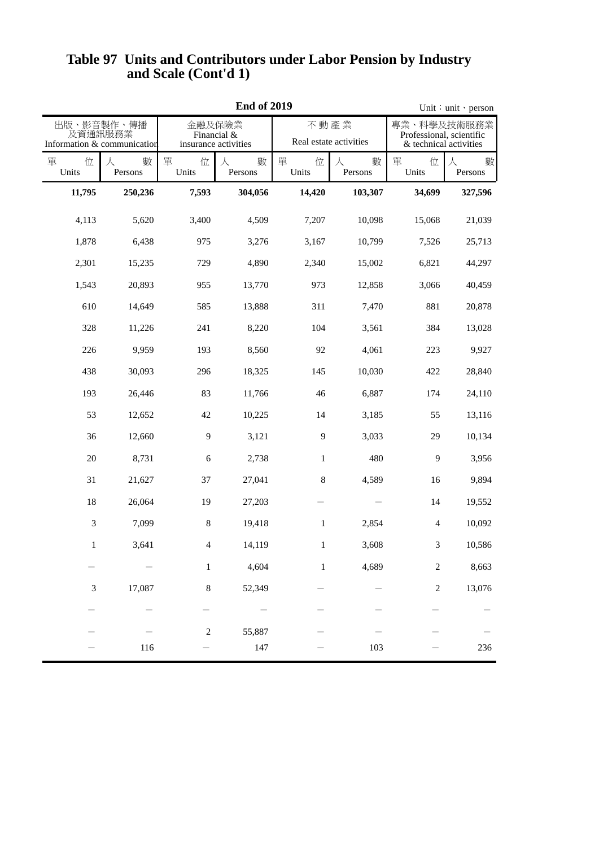|                 |                                                      | Unit: unit · person                           |                   |                                |                   |                                                                   |                   |
|-----------------|------------------------------------------------------|-----------------------------------------------|-------------------|--------------------------------|-------------------|-------------------------------------------------------------------|-------------------|
|                 | 出版、影音製作、傳播<br>及資通訊服務業<br>Information & communication | 金融及保險業<br>Financial &<br>insurance activities |                   | 不動產業<br>Real estate activities |                   | 專業、科學及技術服務業<br>Professional, scientific<br>& technical activities |                   |
| 單<br>位<br>Units | 數<br>人<br>Persons                                    | 單<br>位<br>Units                               | 數<br>人<br>Persons | 單<br>位<br>Units                | 數<br>人<br>Persons | 單<br>位<br>Units                                                   | 人<br>數<br>Persons |
| 11,795          | 250,236                                              | 7,593                                         | 304,056           | 14,420                         | 103,307           | 34,699                                                            | 327,596           |
| 4,113           | 5,620                                                | 3,400                                         | 4,509             | 7,207                          | 10,098            | 15,068                                                            | 21,039            |
| 1,878           | 6,438                                                | 975                                           | 3,276             | 3,167                          | 10,799            | 7,526                                                             | 25,713            |
| 2,301           | 15,235                                               | 729                                           | 4,890             | 2,340                          | 15,002            | 6,821                                                             | 44,297            |
| 1,543           | 20,893                                               | 955                                           | 13,770            | 973                            | 12,858            | 3,066                                                             | 40,459            |
| 610             | 14,649                                               | 585                                           | 13,888            | 311                            | 7,470             | 881                                                               | 20,878            |
| 328             | 11,226                                               | 241                                           | 8,220             | 104                            | 3,561             | 384                                                               | 13,028            |
| 226             | 9,959                                                | 193                                           | 8,560             | 92                             | 4,061             | 223                                                               | 9,927             |
| 438             | 30,093                                               | 296                                           | 18,325            | 145                            | 10,030            | 422                                                               | 28,840            |
| 193             | 26,446                                               | 83                                            | 11,766            | 46                             | 6,887             | 174                                                               | 24,110            |
| 53              | 12,652                                               | 42                                            | 10,225            | 14                             | 3,185             | 55                                                                | 13,116            |
| 36              | 12,660                                               | 9                                             | 3,121             | 9                              | 3,033             | 29                                                                | 10,134            |
| 20              | 8,731                                                | 6                                             | 2,738             | $\mathbf{1}$                   | 480               | $\mathbf{9}$                                                      | 3,956             |
| 31              | 21,627                                               | 37                                            | 27,041            | $\,8\,$                        | 4,589             | 16                                                                | 9,894             |
| 18              | 26,064                                               | 19                                            | 27,203            |                                |                   | 14                                                                | 19,552            |
| 3               | 7,099                                                | 8                                             | 19,418            | 1                              | 2,854             | 4                                                                 | 10,092            |
| $\mathbf{1}$    | 3,641                                                | $\overline{4}$                                | 14,119            | $\mathbf{1}$                   | 3,608             | $\mathfrak{Z}$                                                    | 10,586            |
|                 |                                                      | $1\,$                                         | 4,604             | $\,1$                          | 4,689             | $\boldsymbol{2}$                                                  | 8,663             |
| $\mathfrak{Z}$  | 17,087                                               | $\,8\,$                                       | 52,349            |                                |                   | $\boldsymbol{2}$                                                  | 13,076            |
|                 |                                                      |                                               |                   |                                |                   |                                                                   |                   |
|                 |                                                      | $\sqrt{2}$                                    | 55,887            |                                |                   |                                                                   |                   |
|                 | 116                                                  |                                               | 147               |                                | 103               |                                                                   | 236               |

#### **and Scale (Cont'd 1) Table 97 Units and Contributors under Labor Pension by Industry**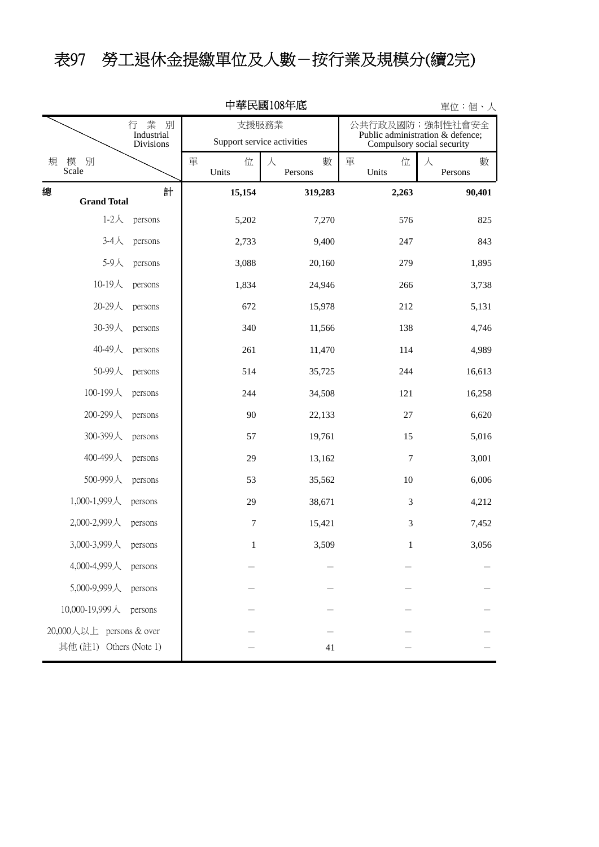## 表97 勞工退休金提繳單位及人數-按行業及規模分(續2完)

| 中華民國108年底<br>單位:個、人                                 |                                               |                 |                                     |                                                                                    |                   |  |  |  |  |
|-----------------------------------------------------|-----------------------------------------------|-----------------|-------------------------------------|------------------------------------------------------------------------------------|-------------------|--|--|--|--|
|                                                     | 業<br>別<br>行<br>Industrial<br><b>Divisions</b> |                 | 支援服務業<br>Support service activities | 公共行政及國防; 強制性社會安全<br>Public administration & defence;<br>Compulsory social security |                   |  |  |  |  |
| 規<br>別<br>模<br>Scale                                |                                               | 單<br>位<br>Units | 人<br>數<br>Persons                   | 單<br>位<br>Units                                                                    | 人<br>數<br>Persons |  |  |  |  |
| 總<br><b>Grand Total</b>                             | 計                                             | 15,154          | 319,283                             | 2,263                                                                              | 90,401            |  |  |  |  |
| $1-2\lambda$                                        | persons                                       | 5,202           | 7,270                               | 576                                                                                | 825               |  |  |  |  |
| $3-4$ 人                                             | persons                                       | 2,733           | 9,400                               | 247                                                                                | 843               |  |  |  |  |
| 5-9人                                                | persons                                       | 3,088           | 20,160                              | 279                                                                                | 1,895             |  |  |  |  |
| 10-19人                                              | persons                                       | 1,834           | 24,946                              | 266                                                                                | 3,738             |  |  |  |  |
| 20-29人                                              | persons                                       | 672             | 15,978                              | 212                                                                                | 5,131             |  |  |  |  |
| 30-39人                                              | persons                                       | 340             | 11,566                              | 138                                                                                | 4,746             |  |  |  |  |
| 40-49人                                              | persons                                       | 261             | 11,470                              | 114                                                                                | 4,989             |  |  |  |  |
| 50-99人                                              | persons                                       | 514             | 35,725                              | 244                                                                                | 16,613            |  |  |  |  |
| 100-199人                                            | persons                                       | 244             | 34,508                              | 121                                                                                | 16,258            |  |  |  |  |
| 200-299人                                            | persons                                       | 90              | 22,133                              | $27\,$                                                                             | 6,620             |  |  |  |  |
| 300-399人                                            | persons                                       | 57              | 19,761                              | 15                                                                                 | 5,016             |  |  |  |  |
| 400-499人                                            | persons                                       | 29              | 13,162                              | $\boldsymbol{7}$                                                                   | 3,001             |  |  |  |  |
| 500-999人                                            | persons                                       | 53              | 35,562                              | 10                                                                                 | 6,006             |  |  |  |  |
| 1,000-1,999人                                        | persons                                       | 29              | 38,671                              | 3                                                                                  | 4,212             |  |  |  |  |
| 2,000-2,999人                                        | persons                                       | 7               | 15,421                              | 3                                                                                  | 7,452             |  |  |  |  |
| 3,000-3,999人                                        | persons                                       | $\mathbf{1}$    | 3,509                               | 1                                                                                  | 3,056             |  |  |  |  |
| 4,000-4,999人                                        | persons                                       |                 |                                     |                                                                                    |                   |  |  |  |  |
| 5,000-9,999人                                        | persons                                       |                 |                                     |                                                                                    |                   |  |  |  |  |
| 10,000-19,999人                                      | persons                                       |                 |                                     |                                                                                    |                   |  |  |  |  |
| 20,000人以上 persons & over<br>其他 (註1) Others (Note 1) |                                               |                 | 41                                  |                                                                                    |                   |  |  |  |  |